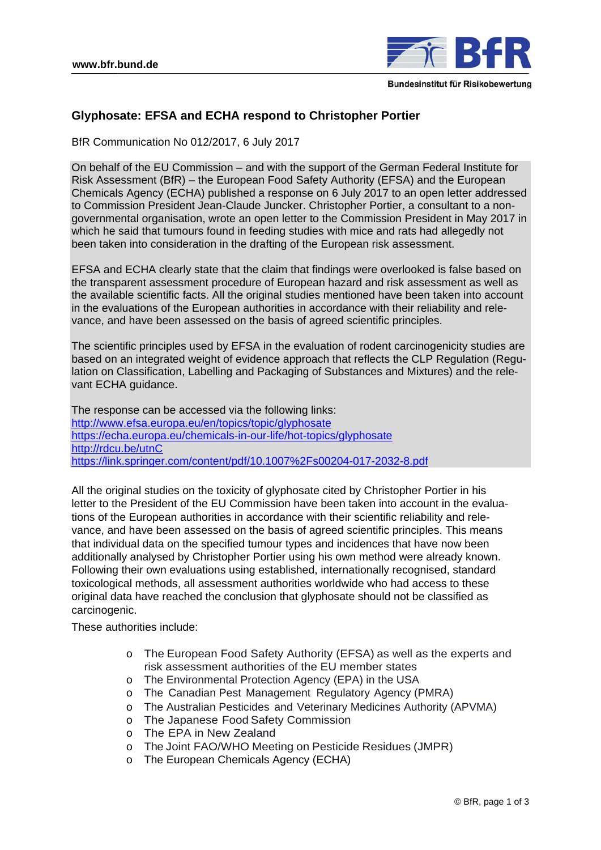

## **Glyphosate: EFSA and ECHA respond to Christopher Portier**

BfR Communication No 012/2017, 6 July 2017

On behalf of the EU Commission – and with the support of the German Federal Institute for Risk Assessment (BfR) – the European Food Safety Authority (EFSA) and the European Chemicals Agency (ECHA) published a response on 6 July 2017 to an open letter addressed to Commission President Jean-Claude Juncker. Christopher Portier, a consultant to a nongovernmental organisation, wrote an open letter to the Commission President in May 2017 in which he said that tumours found in feeding studies with mice and rats had allegedly not been taken into consideration in the drafting of the European risk assessment.

EFSA and ECHA clearly state that the claim that findings were overlooked is false based on the transparent assessment procedure of European hazard and risk assessment as well as the available scientific facts. All the original studies mentioned have been taken into account in the evaluations of the European authorities in accordance with their reliability and relevance, and have been assessed on the basis of agreed scientific principles.

The scientific principles used by EFSA in the evaluation of rodent carcinogenicity studies are based on an integrated weight of evidence approach that reflects the CLP Regulation (Regulation on Classification, Labelling and Packaging of Substances and Mixtures) and the relevant ECHA guidance.

The response can be accessed via the following links: http://www.efsa.europa.eu/en/topics/topic/glyphosate https://echa.europa.eu/chemicals-in-our-life/hot-topics/glyphosate http://rdcu.be/utnC https://link.springer.com/content/pdf/10.1007%2Fs00204-017-2032-8.pdf

All the original studies on the toxicity of glyphosate cited by Christopher Portier in his letter to the President of the EU Commission have been taken into account in the evaluations of the European authorities in accordance with their scientific reliability and relevance, and have been assessed on the basis of agreed scientific principles. This means that individual data on the specified tumour types and incidences that have now been additionally analysed by Christopher Portier using his own method were already known. Following their own evaluations using established, internationally recognised, standard toxicological methods, all assessment authorities worldwide who had access to these original data have reached the conclusion that glyphosate should not be classified as carcinogenic.

These authorities include:

- o The European Food Safety Authority (EFSA) as well as the experts and risk assessment authorities of the EU member states
- o The Environmental Protection Agency (EPA) in the USA
- o The Canadian Pest Management Regulatory Agency (PMRA)
- o The Australian Pesticides and Veterinary Medicines Authority (APVMA)
- o The Japanese Food Safety Commission
- o The EPA in New Zealand
- o The Joint FAO/WHO Meeting on Pesticide Residues (JMPR)
- o The European Chemicals Agency (ECHA)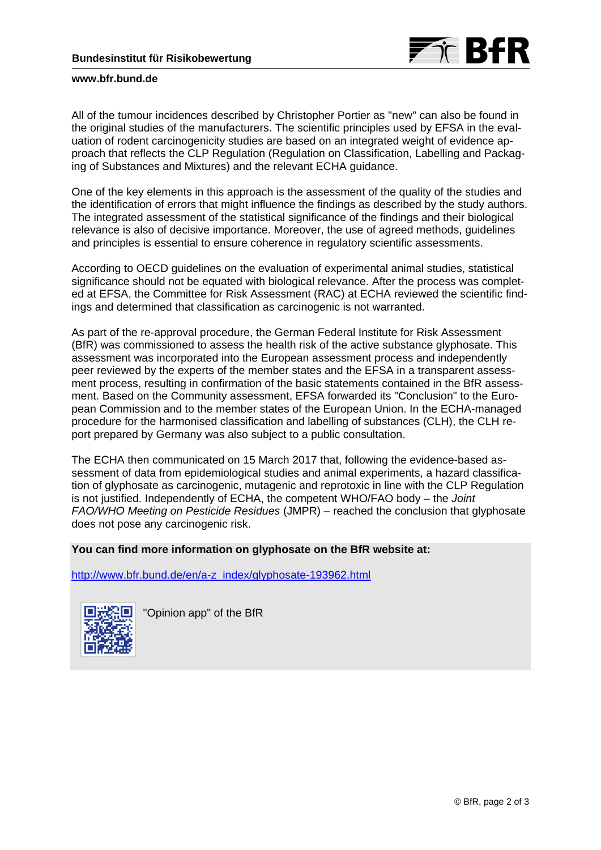

## **www.bfr.bund.de**

All of the tumour incidences described by Christopher Portier as "new" can also be found in the original studies of the manufacturers. The scientific principles used by EFSA in the evaluation of rodent carcinogenicity studies are based on an integrated weight of evidence approach that reflects the CLP Regulation (Regulation on Classification, Labelling and Packaging of Substances and Mixtures) and the relevant ECHA guidance.

One of the key elements in this approach is the assessment of the quality of the studies and the identification of errors that might influence the findings as described by the study authors. The integrated assessment of the statistical significance of the findings and their biological relevance is also of decisive importance. Moreover, the use of agreed methods, guidelines and principles is essential to ensure coherence in regulatory scientific assessments.

According to OECD guidelines on the evaluation of experimental animal studies, statistical significance should not be equated with biological relevance. After the process was completed at EFSA, the Committee for Risk Assessment (RAC) at ECHA reviewed the scientific findings and determined that classification as carcinogenic is not warranted.

As part of the re-approval procedure, the German Federal Institute for Risk Assessment (BfR) was commissioned to assess the health risk of the active substance glyphosate. This assessment was incorporated into the European assessment process and independently peer reviewed by the experts of the member states and the EFSA in a transparent assessment process, resulting in confirmation of the basic statements contained in the BfR assessment. Based on the Community assessment, EFSA forwarded its "Conclusion" to the European Commission and to the member states of the European Union. In the ECHA-managed procedure for the harmonised classification and labelling of substances (CLH), the CLH report prepared by Germany was also subject to a public consultation.

The ECHA then communicated on 15 March 2017 that, following the evidence-based assessment of data from epidemiological studies and animal experiments, a hazard classification of glyphosate as carcinogenic, mutagenic and reprotoxic in line with the CLP Regulation is not justified. Independently of ECHA, the competent WHO/FAO body – the *Joint FAO/WHO Meeting on Pesticide Residues* (JMPR) – reached the conclusion that glyphosate does not pose any carcinogenic risk.

## **You can find more information on glyphosate on the BfR website at:**

http://www.bfr.bund.de/en/a-z\_index/glyphosate-193962.html



"Opinion app" of the BfR